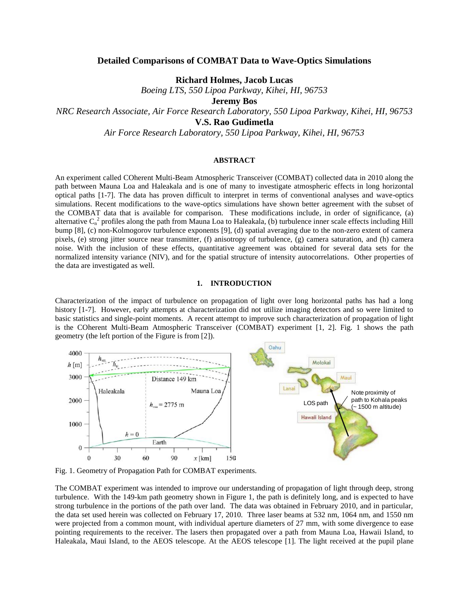# **Detailed Comparisons of COMBAT Data to Wave-Optics Simulations**

**Richard Holmes, Jacob Lucas**

*Boeing LTS, 550 Lipoa Parkway, Kihei, HI, 96753*

**Jeremy Bos**

*NRC Research Associate, Air Force Research Laboratory, 550 Lipoa Parkway, Kihei, HI, 96753*

**V.S. Rao Gudimetla**

*Air Force Research Laboratory, 550 Lipoa Parkway, Kihei, HI, 96753*

# **ABSTRACT**

An experiment called COherent Multi-Beam Atmospheric Transceiver (COMBAT) collected data in 2010 along the path between Mauna Loa and Haleakala and is one of many to investigate atmospheric effects in long horizontal optical paths [1-7]. The data has proven difficult to interpret in terms of conventional analyses and wave-optics simulations. Recent modifications to the wave-optics simulations have shown better agreement with the subset of the COMBAT data that is available for comparison. These modifications include, in order of significance, (a) alternative  $C_n^2$  profiles along the path from Mauna Loa to Haleakala, (b) turbulence inner scale effects including Hill bump [8], (c) non-Kolmogorov turbulence exponents [9], (d) spatial averaging due to the non-zero extent of camera pixels, (e) strong jitter source near transmitter, (f) anisotropy of turbulence, (g) camera saturation, and (h) camera noise. With the inclusion of these effects, quantitative agreement was obtained for several data sets for the normalized intensity variance (NIV), and for the spatial structure of intensity autocorrelations. Other properties of the data are investigated as well.

# **1. INTRODUCTION**

Characterization of the impact of turbulence on propagation of light over long horizontal paths has had a long history [1-7]. However, early attempts at characterization did not utilize imaging detectors and so were limited to basic statistics and single-point moments. A recent attempt to improve such characterization of propagation of light is the COherent Multi-Beam Atmospheric Transceiver (COMBAT) experiment [1, 2]. Fig. 1 shows the path geometry (the left portion of the Figure is from [2]).



Fig. 1. Geometry of Propagation Path for COMBAT experiments.

The COMBAT experiment was intended to improve our understanding of propagation of light through deep, strong turbulence. With the 149-km path geometry shown in Figure 1, the path is definitely long, and is expected to have strong turbulence in the portions of the path over land. The data was obtained in February 2010, and in particular, the data set used herein was collected on February 17, 2010. Three laser beams at 532 nm, 1064 nm, and 1550 nm were projected from a common mount, with individual aperture diameters of 27 mm, with some divergence to ease pointing requirements to the receiver. The lasers then propagated over a path from Mauna Loa, Hawaii Island, to Haleakala, Maui Island, to the AEOS telescope. At the AEOS telescope [1]. The light received at the pupil plane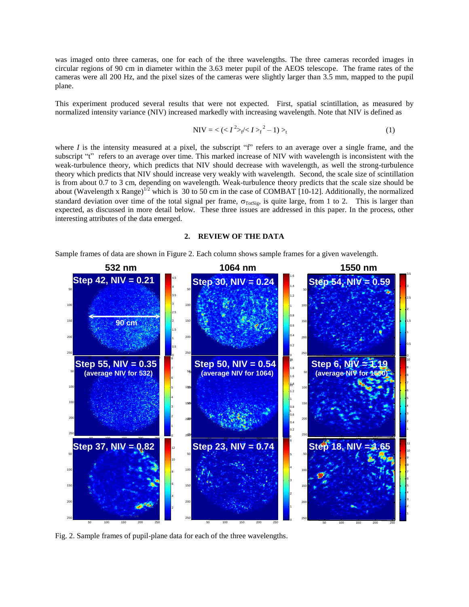was imaged onto three cameras, one for each of the three wavelengths. The three cameras recorded images in circular regions of 90 cm in diameter within the 3.63 meter pupil of the AEOS telescope. The frame rates of the cameras were all 200 Hz, and the pixel sizes of the cameras were slightly larger than 3.5 mm, mapped to the pupil plane.

This experiment produced several results that were not expected. First, spatial scintillation, as measured by normalized intensity variance (NIV) increased markedly with increasing wavelength. Note that NIV is defined as

$$
NIV = \langle (I^2 > f / 1) \rangle_t^2 - 1) >_t
$$
 (1)

where *I* is the intensity measured at a pixel, the subscript "f" refers to an average over a single frame, and the subscript "t" refers to an average over time. This marked increase of NIV with wavelength is inconsistent with the weak-turbulence theory, which predicts that NIV should decrease with wavelength, as well the strong-turbulence theory which predicts that NIV should increase very weakly with wavelength. Second, the scale size of scintillation is from about 0.7 to 3 cm, depending on wavelength. Weak-turbulence theory predicts that the scale size should be about (Wavelength x Range)<sup>12</sup> which is 30 to 50 cm in the case of COMBAT [10-12]. Additionally, the normalized standard deviation over time of the total signal per frame,  $\sigma_{\text{TotSig}}$ , is quite large, from 1 to 2. This is larger than expected, as discussed in more detail below. These three issues are addressed in this paper. In the process, other interesting attributes of the data emerged.

# **2. REVIEW OF THE DATA**

Sample frames of data are shown in Figure 2. Each column shows sample frames for a given wavelength.



Fig. 2. Sample frames of pupil-plane data for each of the three wavelengths.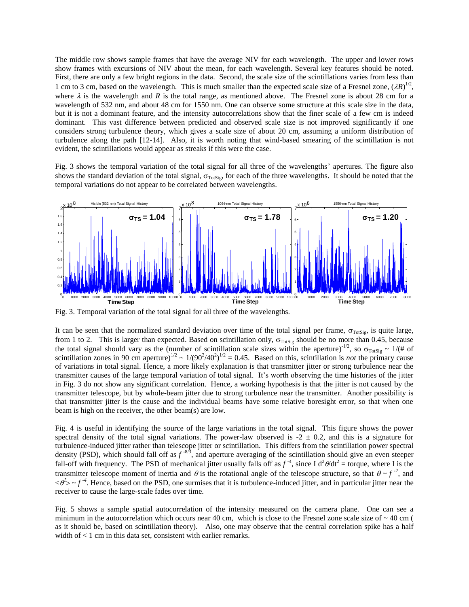The middle row shows sample frames that have the average NIV for each wavelength. The upper and lower rows show frames with excursions of NIV about the mean, for each wavelength. Several key features should be noted. First, there are only a few bright regions in the data. Second, the scale size of the scintillations varies from less than 1 cm to 3 cm, based on the wavelength. This is much smaller than the expected scale size of a Fresnel zone,  $(\lambda R)^{1/2}$ , where  $\lambda$  is the wavelength and *R* is the total range, as mentioned above. The Fresnel zone is about 28 cm for a wavelength of 532 nm, and about 48 cm for 1550 nm. One can observe some structure at this scale size in the data, but it is not a dominant feature, and the intensity autocorrelations show that the finer scale of a few cm is indeed dominant. This vast difference between predicted and observed scale size is not improved significantly if one considers strong turbulence theory, which gives a scale size of about 20 cm, assuming a uniform distribution of turbulence along the path [12-14]. Also, it is worth noting that wind-based smearing of the scintillation is not evident, the scintillations would appear as streaks if this were the case.

Fig. 3 shows the temporal variation of the total signal for all three of the wavelengths' apertures. The figure also shows the standard deviation of the total signal,  $\sigma_{\text{ToSis}}$ , for each of the three wavelengths. It should be noted that the temporal variations do not appear to be correlated between wavelengths.



Fig. 3. Temporal variation of the total signal for all three of the wavelengths.

It can be seen that the normalized standard deviation over time of the total signal per frame,  $\sigma_{\text{ToSig}}$ , is quite large, from 1 to 2. This is larger than expected. Based on scintillation only,  $\sigma_{Tots}$  should be no more than 0.45, because the total signal should vary as the (number of scintillation scale sizes within the aperture)<sup>-1/2</sup>, so  $\sigma_{\text{Totsig}} \sim 1/(# \text{ of})$ scintillation zones in 90 cm aperture)<sup>1/2</sup> ~  $1/(90^2/40^2)^{1/2} = 0.45$ . Based on this, scintillation is *not* the primary cause of variations in total signal. Hence, a more likely explanation is that transmitter jitter or strong turbulence near the transmitter causes of the large temporal variation of total signal. It's worth observing the time histories of the jitter in Fig. 3 do not show any significant correlation. Hence, a working hypothesis is that the jitter is not caused by the transmitter telescope, but by whole-beam jitter due to strong turbulence near the transmitter. Another possibility is that transmitter jitter is the cause and the individual beams have some relative boresight error, so that when one beam is high on the receiver, the other beam(s) are low.

Fig. 4 is useful in identifying the source of the large variations in the total signal. This figure shows the power spectral density of the total signal variations. The power-law observed is  $-2 \pm 0.2$ , and this is a signature for turbulence-induced jitter rather than telescope jitter or scintillation. This differs from the scintillation power spectral density (PSD), which should fall off as  $f^{-8/3}$ , and aperture averaging of the scintillation should give an even steeper fall-off with frequency. The PSD of mechanical jitter usually falls off as  $f^{-4}$ , since I  $d^2\theta/dt^2$  = torque, where I is the transmitter telescope moment of inertia and  $\theta$  is the rotational angle of the telescope structure, so that  $\theta \sim f^{-2}$ , and  $\langle \theta^2 \rangle$   $\sim$  f<sup>-4</sup>. Hence, based on the PSD, one surmises that it is turbulence-induced jitter, and in particular jitter near the receiver to cause the large-scale fades over time.

Fig. 5 shows a sample spatial autocorrelation of the intensity measured on the camera plane. One can see a minimum in the autocorrelation which occurs near 40 cm, which is close to the Fresnel zone scale size of  $\sim$  40 cm ( as it should be, based on scintillation theory). Also, one may observe that the central correlation spike has a half width of  $< 1$  cm in this data set, consistent with earlier remarks.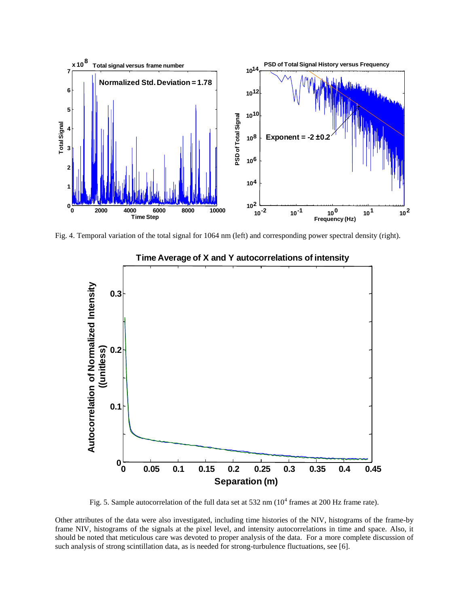

Fig. 4. Temporal variation of the total signal for 1064 nm (left) and corresponding power spectral density (right).



# **Time Average of X and Y autocorrelations of intensity**

Fig. 5. Sample autocorrelation of the full data set at 532 nm  $(10^4$  frames at 200 Hz frame rate).

Other attributes of the data were also investigated, including time histories of the NIV, histograms of the frame-by frame NIV, histograms of the signals at the pixel level, and intensity autocorrelations in time and space. Also, it should be noted that meticulous care was devoted to proper analysis of the data. For a more complete discussion of such analysis of strong scintillation data, as is needed for strong-turbulence fluctuations, see [6].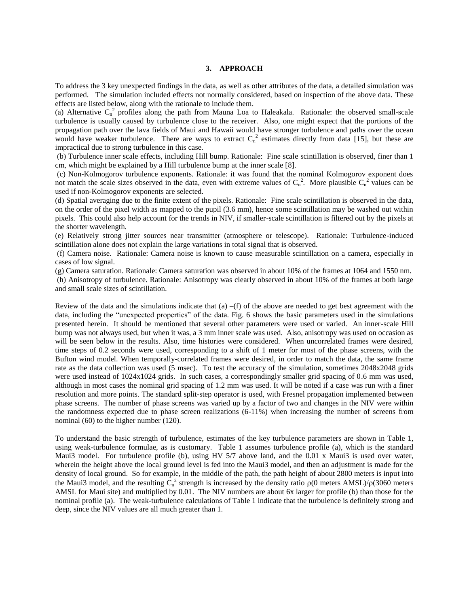#### **3. APPROACH**

To address the 3 key unexpected findings in the data, as well as other attributes of the data, a detailed simulation was performed. The simulation included effects not normally considered, based on inspection of the above data. These effects are listed below, along with the rationale to include them.

(a) Alternative  $C_n^2$  profiles along the path from Mauna Loa to Haleakala. Rationale: the observed small-scale turbulence is usually caused by turbulence close to the receiver. Also, one might expect that the portions of the propagation path over the lava fields of Maui and Hawaii would have stronger turbulence and paths over the ocean would have weaker turbulence. There are ways to extract  $C_n^2$  estimates directly from data [15], but these are impractical due to strong turbulence in this case.

(b) Turbulence inner scale effects, including Hill bump. Rationale: Fine scale scintillation is observed, finer than 1 cm, which might be explained by a Hill turbulence bump at the inner scale [8].

(c) Non-Kolmogorov turbulence exponents. Rationale: it was found that the nominal Kolmogorov exponent does not match the scale sizes observed in the data, even with extreme values of  $C_n^2$ . More plausible  $C_n^2$  values can be used if non-Kolmogorov exponents are selected.

(d) Spatial averaging due to the finite extent of the pixels. Rationale: Fine scale scintillation is observed in the data, on the order of the pixel width as mapped to the pupil (3.6 mm), hence some scintillation may be washed out within pixels. This could also help account for the trends in NIV, if smaller-scale scintillation is filtered out by the pixels at the shorter wavelength.

(e) Relatively strong jitter sources near transmitter (atmosphere or telescope). Rationale: Turbulence-induced scintillation alone does not explain the large variations in total signal that is observed.

(f) Camera noise. Rationale: Camera noise is known to cause measurable scintillation on a camera, especially in cases of low signal.

(g) Camera saturation. Rationale: Camera saturation was observed in about 10% of the frames at 1064 and 1550 nm.

(h) Anisotropy of turbulence. Rationale: Anisotropy was clearly observed in about 10% of the frames at both large and small scale sizes of scintillation.

Review of the data and the simulations indicate that  $(a) - (f)$  of the above are needed to get best agreement with the data, including the "unexpected properties" of the data. Fig. 6 shows the basic parameters used in the simulations presented herein. It should be mentioned that several other parameters were used or varied. An inner-scale Hill bump was not always used, but when it was, a 3 mm inner scale was used. Also, anisotropy was used on occasion as will be seen below in the results. Also, time histories were considered. When uncorrelated frames were desired, time steps of 0.2 seconds were used, corresponding to a shift of 1 meter for most of the phase screens, with the Bufton wind model. When temporally-correlated frames were desired, in order to match the data, the same frame rate as the data collection was used (5 msec). To test the accuracy of the simulation, sometimes 2048x2048 grids were used instead of 1024x1024 grids. In such cases, a correspondingly smaller grid spacing of 0.6 mm was used, although in most cases the nominal grid spacing of 1.2 mm was used. It will be noted if a case was run with a finer resolution and more points. The standard split-step operator is used, with Fresnel propagation implemented between phase screens. The number of phase screens was varied up by a factor of two and changes in the NIV were within the randomness expected due to phase screen realizations (6-11%) when increasing the number of screens from nominal (60) to the higher number (120).

To understand the basic strength of turbulence, estimates of the key turbulence parameters are shown in Table 1, using weak-turbulence formulae, as is customary. Table 1 assumes turbulence profile (a), which is the standard Maui3 model. For turbulence profile (b), using HV 5/7 above land, and the 0.01 x Maui3 is used over water, wherein the height above the local ground level is fed into the Maui3 model, and then an adjustment is made for the density of local ground. So for example, in the middle of the path, the path height of about 2800 meters is input into the Maui3 model, and the resulting  $C_n^2$  strength is increased by the density ratio  $\rho(0)$  meters AMSL)/ $\rho(3060)$  meters AMSL for Maui site) and multiplied by 0.01. The NIV numbers are about 6x larger for profile (b) than those for the nominal profile (a). The weak-turbulence calculations of Table 1 indicate that the turbulence is definitely strong and deep, since the NIV values are all much greater than 1.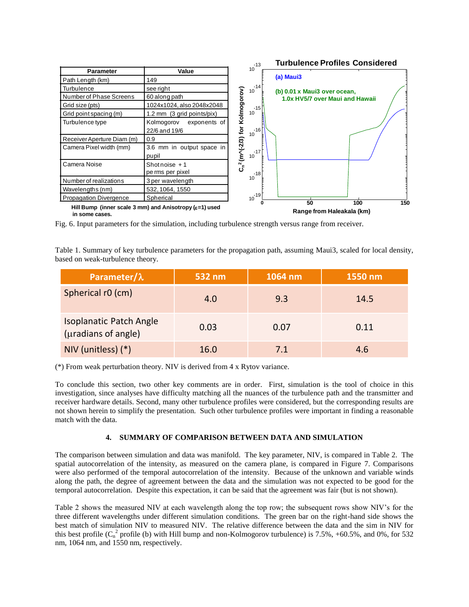

Fig. 6. Input parameters for the simulation, including turbulence strength versus range from receiver.

Table 1. Summary of key turbulence parameters for the propagation path, assuming Maui3, scaled for local density, based on weak-turbulence theory.

| Parameter/ $\lambda$                                  | 532 nm | 1064 nm | 1550 nm |
|-------------------------------------------------------|--------|---------|---------|
| Spherical r0 (cm)                                     | 4.0    | 9.3     | 14.5    |
| <b>Isoplanatic Patch Angle</b><br>(uradians of angle) | 0.03   | 0.07    | 0.11    |
| NIV (unitless) $(*)$                                  | 16.0   | 7.1     | 4.6     |

(\*) From weak perturbation theory. NIV is derived from 4 x Rytov variance.

To conclude this section, two other key comments are in order. First, simulation is the tool of choice in this investigation, since analyses have difficulty matching all the nuances of the turbulence path and the transmitter and receiver hardware details. Second, many other turbulence profiles were considered, but the corresponding results are not shown herein to simplify the presentation. Such other turbulence profiles were important in finding a reasonable match with the data

# **4. SUMMARY OF COMPARISON BETWEEN DATA AND SIMULATION**

The comparison between simulation and data was manifold. The key parameter, NIV, is compared in Table 2. The spatial autocorrelation of the intensity, as measured on the camera plane, is compared in Figure 7. Comparisons were also performed of the temporal autocorrelation of the intensity. Because of the unknown and variable winds along the path, the degree of agreement between the data and the simulation was not expected to be good for the temporal autocorrelation. Despite this expectation, it can be said that the agreement was fair (but is not shown).

Table 2 shows the measured NIV at each wavelength along the top row; the subsequent rows show NIV's for the three different wavelengths under different simulation conditions. The green bar on the right-hand side shows the best match of simulation NIV to measured NIV. The relative difference between the data and the sim in NIV for this best profile  $(C_n^2$  profile (b) with Hill bump and non-Kolmogorov turbulence) is 7.5%, +60.5%, and 0%, for 532 nm, 1064 nm, and 1550 nm, respectively.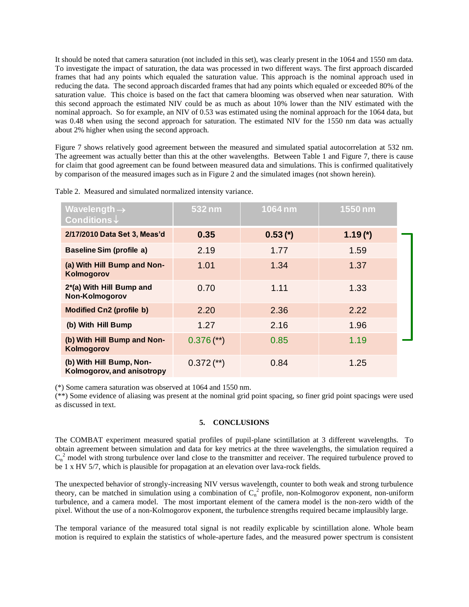It should be noted that camera saturation (not included in this set), was clearly present in the 1064 and 1550 nm data. To investigate the impact of saturation, the data was processed in two different ways. The first approach discarded frames that had any points which equaled the saturation value. This approach is the nominal approach used in reducing the data. The second approach discarded frames that had any points which equaled or exceeded 80% of the saturation value. This choice is based on the fact that camera blooming was observed when near saturation. With this second approach the estimated NIV could be as much as about 10% lower than the NIV estimated with the nominal approach. So for example, an NIV of 0.53 was estimated using the nominal approach for the 1064 data, but was 0.48 when using the second approach for saturation. The estimated NIV for the 1550 nm data was actually about 2% higher when using the second approach.

Figure 7 shows relatively good agreement between the measured and simulated spatial autocorrelation at 532 nm. The agreement was actually better than this at the other wavelengths. Between Table 1 and Figure 7, there is cause for claim that good agreement can be found between measured data and simulations. This is confirmed qualitatively by comparison of the measured images such as in Figure 2 and the simulated images (not shown herein).

| Wavelength $\rightarrow$<br>Conditions $\downarrow$    | 532 nm       | 1064 nm    | 1550 nm   |  |
|--------------------------------------------------------|--------------|------------|-----------|--|
| 2/17/2010 Data Set 3, Meas'd                           | 0.35         | $0.53$ (*) | $1.19(*)$ |  |
| <b>Baseline Sim (profile a)</b>                        | 2.19         | 1.77       | 1.59      |  |
| (a) With Hill Bump and Non-<br>Kolmogorov              | 1.01         | 1.34       | 1.37      |  |
| 2*(a) With Hill Bump and<br>Non-Kolmogorov             | 0.70         | 1.11       | 1.33      |  |
| <b>Modified Cn2 (profile b)</b>                        | 2.20         | 2.36       | 2.22      |  |
| (b) With Hill Bump                                     | 1.27         | 2.16       | 1.96      |  |
| (b) With Hill Bump and Non-<br>Kolmogorov              | $0.376$ (**) | 0.85       | 1.19      |  |
| (b) With Hill Bump, Non-<br>Kolmogorov, and anisotropy | $0.372$ (**) | 0.84       | 1.25      |  |

Table 2. Measured and simulated normalized intensity variance.

(\*) Some camera saturation was observed at 1064 and 1550 nm.

(\*\*) Some evidence of aliasing was present at the nominal grid point spacing, so finer grid point spacings were used as discussed in text.

# **5. CONCLUSIONS**

The COMBAT experiment measured spatial profiles of pupil-plane scintillation at 3 different wavelengths. To obtain agreement between simulation and data for key metrics at the three wavelengths, the simulation required a  $C_n^2$  model with strong turbulence over land close to the transmitter and receiver. The required turbulence proved to be 1 x HV 5/7, which is plausible for propagation at an elevation over lava-rock fields.

The unexpected behavior of strongly-increasing NIV versus wavelength, counter to both weak and strong turbulence theory, can be matched in simulation using a combination of  $C_n^2$  profile, non-Kolmogorov exponent, non-uniform turbulence, and a camera model. The most important element of the camera model is the non-zero width of the pixel. Without the use of a non-Kolmogorov exponent, the turbulence strengths required became implausibly large.

The temporal variance of the measured total signal is not readily explicable by scintillation alone. Whole beam motion is required to explain the statistics of whole-aperture fades, and the measured power spectrum is consistent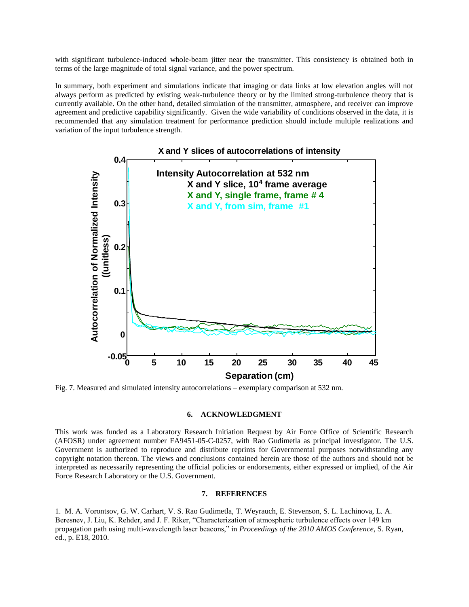with significant turbulence-induced whole-beam jitter near the transmitter. This consistency is obtained both in terms of the large magnitude of total signal variance, and the power spectrum.

In summary, both experiment and simulations indicate that imaging or data links at low elevation angles will not always perform as predicted by existing weak-turbulence theory or by the limited strong-turbulence theory that is currently available. On the other hand, detailed simulation of the transmitter, atmosphere, and receiver can improve agreement and predictive capability significantly. Given the wide variability of conditions observed in the data, it is recommended that any simulation treatment for performance prediction should include multiple realizations and variation of the input turbulence strength.



Fig. 7. Measured and simulated intensity autocorrelations – exemplary comparison at 532 nm.

#### **6. ACKNOWLEDGMENT**

This work was funded as a Laboratory Research Initiation Request by Air Force Office of Scientific Research (AFOSR) under agreement number FA9451-05-C-0257, with Rao Gudimetla as principal investigator. The U.S. Government is authorized to reproduce and distribute reprints for Governmental purposes notwithstanding any copyright notation thereon. The views and conclusions contained herein are those of the authors and should not be interpreted as necessarily representing the official policies or endorsements, either expressed or implied, of the Air Force Research Laboratory or the U.S. Government.

### **7. REFERENCES**

1. M. A. Vorontsov, G. W. Carhart, V. S. Rao Gudimetla, T. Weyrauch, E. Stevenson, S. L. Lachinova, L. A. Beresnev, J. Liu, K. Rehder, and J. F. Riker, "Characterization of atmospheric turbulence effects over 149 km propagation path using multi-wavelength laser beacons," in *Proceedings of the 2010 AMOS Conference*, S. Ryan, ed., p. E18, 2010.